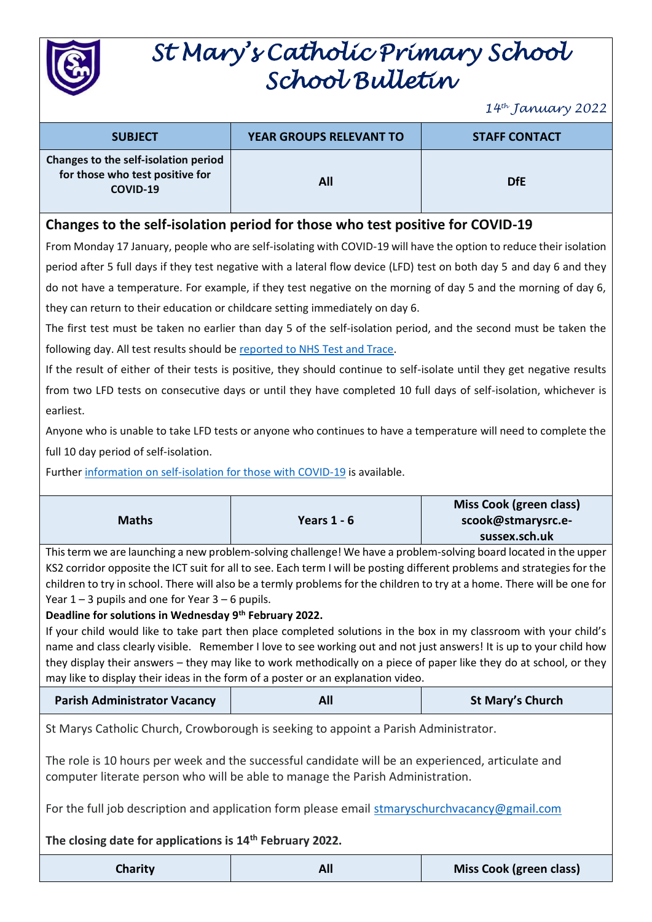

# *St Mary's Catholic Primary School School Bulletin*

*14th January 2022*

| <b>SUBJECT</b>                                                                      | <b>YEAR GROUPS RELEVANT TO</b> | <b>STAFF CONTACT</b> |  |
|-------------------------------------------------------------------------------------|--------------------------------|----------------------|--|
| Changes to the self-isolation period<br>for those who test positive for<br>COVID-19 | All                            | <b>DfE</b>           |  |

### **Changes to the self-isolation period for those who test positive for COVID-19**

From Monday 17 January, people who are self-isolating with COVID-19 will have the option to reduce their isolation period after 5 full days if they test negative with a lateral flow device (LFD) test on both day 5 and day 6 and they do not have a temperature. For example, if they test negative on the morning of day 5 and the morning of day 6, they can return to their education or childcare setting immediately on day 6.

The first test must be taken no earlier than day 5 of the self-isolation period, and the second must be taken the following day. All test results should be [reported to NHS Test and Trace.](https://www.gov.uk/report-covid19-result?utm_source=14%20January%202022%20C19&utm_medium=Daily%20Email%20C19&utm_campaign=DfE%20C19)

If the result of either of their tests is positive, they should continue to self-isolate until they get negative results from two LFD tests on consecutive days or until they have completed 10 full days of self-isolation, whichever is earliest.

Anyone who is unable to take LFD tests or anyone who continues to have a temperature will need to complete the full 10 day period of self-isolation.

Furthe[r information on self-isolation for those with COVID-19](https://www.gov.uk/government/news/self-isolation-for-those-with-covid-19-can-end-after-five-full-days-following-two-negative-lfd-tests?utm_source=14%20January%202022%20C19&utm_medium=Daily%20Email%20C19&utm_campaign=DfE%20C19) is available.

| <b>Maths</b> | Years $1 - 6$ | Miss Cook (green class)<br>scook@stmarysrc.e- |
|--------------|---------------|-----------------------------------------------|
|              |               | sussex.sch.uk                                 |

This term we are launching a new problem-solving challenge! We have a problem-solving board located in the upper KS2 corridor opposite the ICT suit for all to see. Each term I will be posting different problems and strategies for the children to try in school. There will also be a termly problems for the children to try at a home. There will be one for Year  $1 - 3$  pupils and one for Year  $3 - 6$  pupils.

#### **Deadline for solutions in Wednesday 9th February 2022.**

If your child would like to take part then place completed solutions in the box in my classroom with your child's name and class clearly visible. Remember I love to see working out and not just answers! It is up to your child how they display their answers – they may like to work methodically on a piece of paper like they do at school, or they may like to display their ideas in the form of a poster or an explanation video.

| <b>Parish Administrator Vacancy</b> | All | <b>St Mary's Church</b> |
|-------------------------------------|-----|-------------------------|
|-------------------------------------|-----|-------------------------|

St Marys Catholic Church, Crowborough is seeking to appoint a Parish Administrator.

The role is 10 hours per week and the successful candidate will be an experienced, articulate and computer literate person who will be able to manage the Parish Administration.

For the full job description and application form please email [stmaryschurchvacancy@gmail.com](mailto:stmarychurchvacancy@gmail.com)

#### **The closing date for applications is 14th February 2022.**

| <b>Charity</b> | <b>Miss Cook (green class)</b> |
|----------------|--------------------------------|
|----------------|--------------------------------|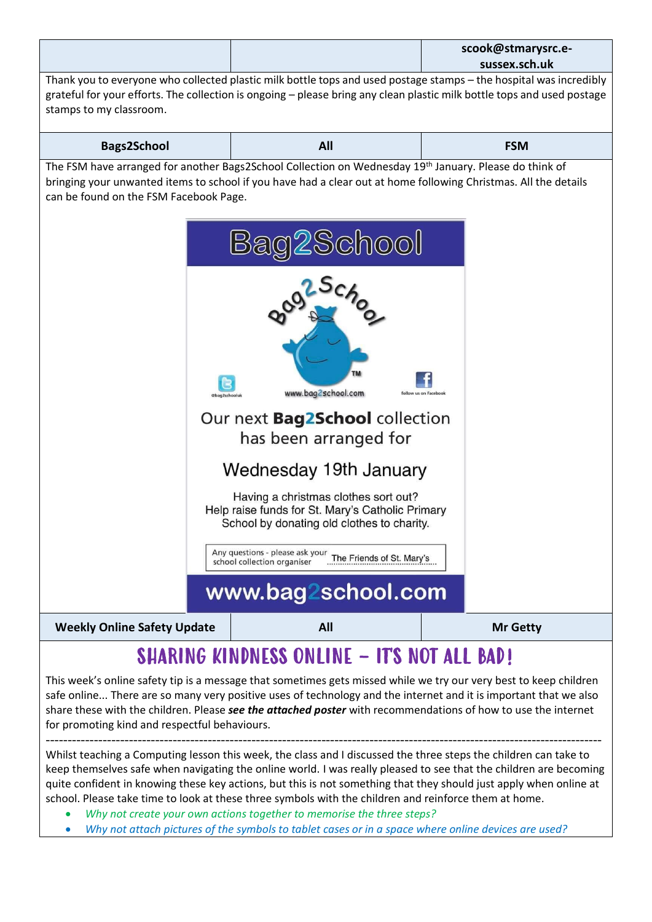|                                                                                                                                                                                                                                                                                                                                                                                                                                                                                                                                                                                                                                                                                                                                                                                                                             |  |                                                                                                                                                                                                                                                                                                                                                                                                                                                                                                                                                                                             | scook@stmarysrc.e-<br>sussex.sch.uk |  |
|-----------------------------------------------------------------------------------------------------------------------------------------------------------------------------------------------------------------------------------------------------------------------------------------------------------------------------------------------------------------------------------------------------------------------------------------------------------------------------------------------------------------------------------------------------------------------------------------------------------------------------------------------------------------------------------------------------------------------------------------------------------------------------------------------------------------------------|--|---------------------------------------------------------------------------------------------------------------------------------------------------------------------------------------------------------------------------------------------------------------------------------------------------------------------------------------------------------------------------------------------------------------------------------------------------------------------------------------------------------------------------------------------------------------------------------------------|-------------------------------------|--|
| Thank you to everyone who collected plastic milk bottle tops and used postage stamps - the hospital was incredibly<br>grateful for your efforts. The collection is ongoing - please bring any clean plastic milk bottle tops and used postage<br>stamps to my classroom.                                                                                                                                                                                                                                                                                                                                                                                                                                                                                                                                                    |  |                                                                                                                                                                                                                                                                                                                                                                                                                                                                                                                                                                                             |                                     |  |
| <b>Bags2School</b>                                                                                                                                                                                                                                                                                                                                                                                                                                                                                                                                                                                                                                                                                                                                                                                                          |  | All                                                                                                                                                                                                                                                                                                                                                                                                                                                                                                                                                                                         | <b>FSM</b>                          |  |
| can be found on the FSM Facebook Page.                                                                                                                                                                                                                                                                                                                                                                                                                                                                                                                                                                                                                                                                                                                                                                                      |  | The FSM have arranged for another Bags2School Collection on Wednesday 19 <sup>th</sup> January. Please do think of<br>bringing your unwanted items to school if you have had a clear out at home following Christmas. All the details<br>OOI<br>www.bag2school.com<br>Our next <b>Bag2School</b> collection<br>has been arranged for<br>Wednesday 19th January<br>Having a christmas clothes sort out?<br>Help raise funds for St. Mary's Catholic Primary<br>School by donating old clothes to charity.<br>Any questions - please ask your The Friends of St. Mary's<br>www.bag2school.com | follow us on Facebool               |  |
| <b>Weekly Online Safety Update</b>                                                                                                                                                                                                                                                                                                                                                                                                                                                                                                                                                                                                                                                                                                                                                                                          |  | All                                                                                                                                                                                                                                                                                                                                                                                                                                                                                                                                                                                         | <b>Mr Getty</b>                     |  |
| <b>SHARING KINDNESS ONLINE - ITS NOT ALL BAD!</b><br>This week's online safety tip is a message that sometimes gets missed while we try our very best to keep children<br>safe online There are so many very positive uses of technology and the internet and it is important that we also<br>share these with the children. Please see the attached poster with recommendations of how to use the internet<br>for promoting kind and respectful behaviours.<br>Whilst teaching a Computing lesson this week, the class and I discussed the three steps the children can take to<br>keep themselves safe when navigating the online world. I was really pleased to see that the children are becoming<br>quite confident in knowing these key actions, but this is not something that they should just apply when online at |  |                                                                                                                                                                                                                                                                                                                                                                                                                                                                                                                                                                                             |                                     |  |
|                                                                                                                                                                                                                                                                                                                                                                                                                                                                                                                                                                                                                                                                                                                                                                                                                             |  | school. Please take time to look at these three symbols with the children and reinforce them at home.<br>Why not create your own actions together to memorise the three steps?<br>Why not attach pictures of the symbols to tablet cases or in a space where online devices are used?                                                                                                                                                                                                                                                                                                       |                                     |  |
|                                                                                                                                                                                                                                                                                                                                                                                                                                                                                                                                                                                                                                                                                                                                                                                                                             |  |                                                                                                                                                                                                                                                                                                                                                                                                                                                                                                                                                                                             |                                     |  |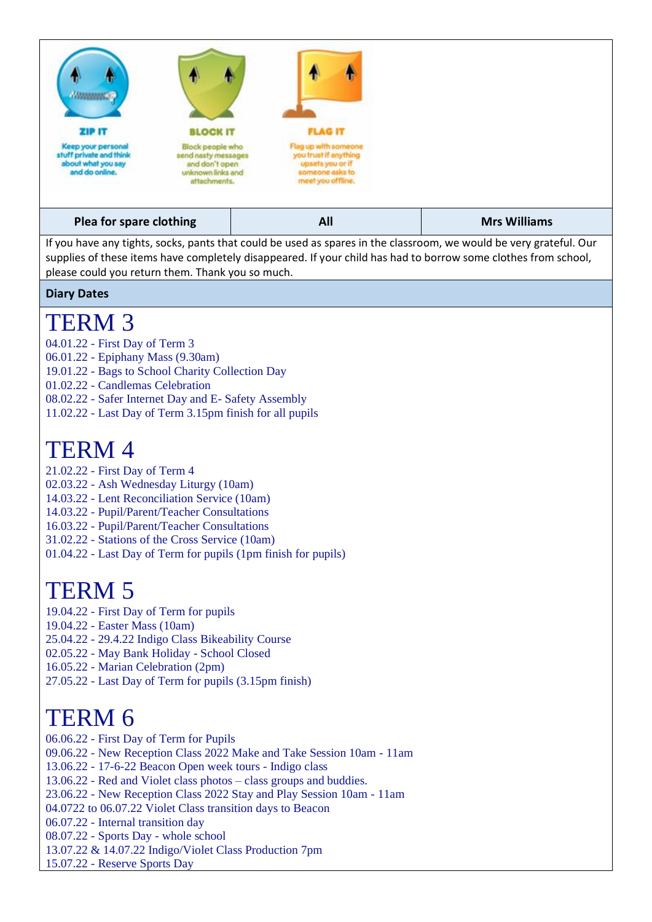

If you have any tights, socks, pants that could be used as spares in the classroom, we would be very grateful. Our supplies of these items have completely disappeared. If your child has had to borrow some clothes from school, please could you return them. Thank you so much.

#### **Diary Dates**

### TERM 3

- 04.01.22 First Day of Term 3
- 06.01.22 Epiphany Mass (9.30am)
- 19.01.22 Bags to School Charity Collection Day
- 01.02.22 Candlemas Celebration
- 08.02.22 Safer Internet Day and E- Safety Assembly
- 11.02.22 Last Day of Term 3.15pm finish for all pupils

### TERM 4

- 21.02.22 First Day of Term 4
- 02.03.22 Ash Wednesday Liturgy (10am)
- 14.03.22 Lent Reconciliation Service (10am)
- 14.03.22 Pupil/Parent/Teacher Consultations
- 16.03.22 Pupil/Parent/Teacher Consultations
- 31.02.22 Stations of the Cross Service (10am)
- 01.04.22 Last Day of Term for pupils (1pm finish for pupils)

# TERM 5

- 19.04.22 First Day of Term for pupils
- 19.04.22 Easter Mass (10am)
- 25.04.22 29.4.22 Indigo Class Bikeability Course
- 02.05.22 May Bank Holiday School Closed
- 16.05.22 Marian Celebration (2pm)
- 27.05.22 Last Day of Term for pupils (3.15pm finish)

## TERM 6

- 06.06.22 First Day of Term for Pupils
- 09.06.22 New Reception Class 2022 Make and Take Session 10am 11am
- 13.06.22 17-6-22 Beacon Open week tours Indigo class
- 13.06.22 Red and Violet class photos class groups and buddies.
- 23.06.22 New Reception Class 2022 Stay and Play Session 10am 11am
- 04.0722 to 06.07.22 Violet Class transition days to Beacon
- 06.07.22 Internal transition day
- 08.07.22 Sports Day whole school
- 13.07.22 & 14.07.22 Indigo/Violet Class Production 7pm
- 15.07.22 Reserve Sports Day